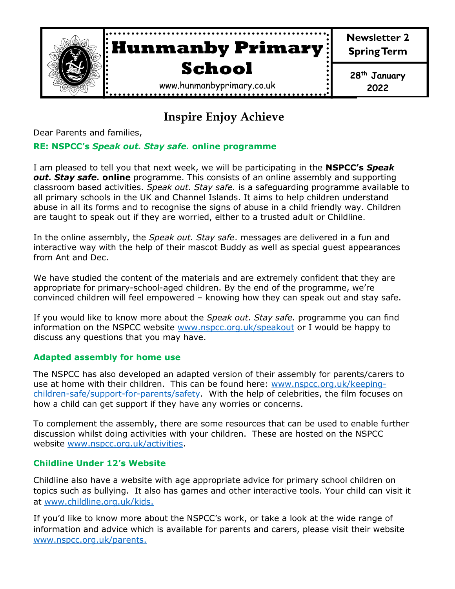

# **Inspire Enjoy Achieve**

Dear Parents and families,

#### **RE: NSPCC's** *Speak out. Stay safe.* **online programme**

I am pleased to tell you that next week, we will be participating in the **NSPCC's** *Speak out. Stay safe.* **online** programme. This consists of an online assembly and supporting classroom based activities. *Speak out. Stay safe.* is a safeguarding programme available to all primary schools in the UK and Channel Islands. It aims to help children understand abuse in all its forms and to recognise the signs of abuse in a child friendly way. Children are taught to speak out if they are worried, either to a trusted adult or Childline.

In the online assembly, the *Speak out. Stay safe*. messages are delivered in a fun and interactive way with the help of their mascot Buddy as well as special guest appearances from Ant and Dec.

We have studied the content of the materials and are extremely confident that they are appropriate for primary-school-aged children. By the end of the programme, we're convinced children will feel empowered – knowing how they can speak out and stay safe.

If you would like to know more about the *Speak out. Stay safe.* programme you can find information on the NSPCC website [www.nspcc.org.uk/speakout](http://www.nspcc.org.uk/speakout) or I would be happy to discuss any questions that you may have.

#### **Adapted assembly for home use**

The NSPCC has also developed an adapted version of their assembly for parents/carers to use at home with their children.This can be found here: [www.nspcc.org.uk/keeping](http://www.nspcc.org.uk/keeping-children-safe/support-for-parents/safety)[children-safe/support-for-parents/safety.](http://www.nspcc.org.uk/keeping-children-safe/support-for-parents/safety) With the help of celebrities, the film focuses on how a child can get support if they have any worries or concerns.

To complement the assembly, there are some resources that can be used to enable further discussion whilst doing activities with your children. These are hosted on the NSPCC website [www.nspcc.org.uk/activities.](http://www.nspcc.org.uk/activities)

#### **Childline Under 12's Website**

Childline also have a website with age appropriate advice for primary school children on topics such as bullying. It also has games and other interactive tools. Your child can visit it at [www.childline.org.uk/kids.](http://www.childline.org.uk/kids)

If you'd like to know more about the NSPCC's work, or take a look at the wide range of information and advice which is available for parents and carers, please visit their website [www.nspcc.org.uk/parents.](http://www.nspcc.org.uk/parents)